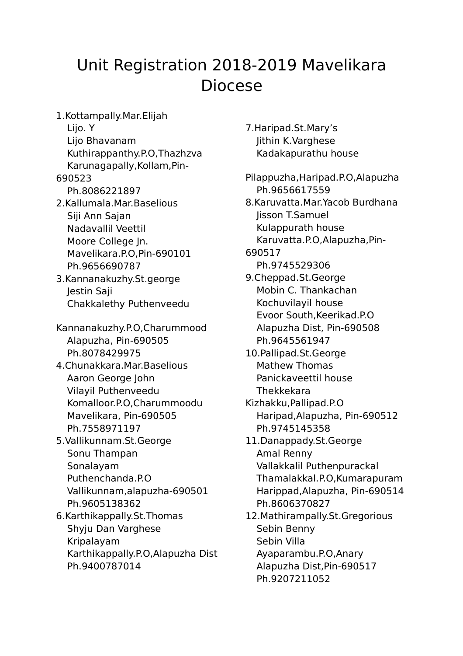## Unit Registration 2018-2019 Mavelikara Diocese

1.Kottampally.Mar.Elijah Lijo. Y Lijo Bhavanam Kuthirappanthy.P.O,Thazhzva Karunagapally,Kollam,Pin-690523 Ph.8086221897 2.Kallumala.Mar.Baselious Siji Ann Sajan Nadavallil Veettil Moore College Jn. Mavelikara.P.O,Pin-690101 Ph.9656690787 3.Kannanakuzhy.St.george Jestin Saji Chakkalethy Puthenveedu Kannanakuzhy.P.O,Charummood Alapuzha, Pin-690505 Ph.8078429975 4.Chunakkara.Mar.Baselious Aaron George John Vilayil Puthenveedu Komalloor.P.O,Charummoodu Mavelikara, Pin-690505 Ph.7558971197 5.Vallikunnam.St.George Sonu Thampan Sonalayam Puthenchanda.P.O Vallikunnam,alapuzha-690501 Ph.9605138362 6.Karthikappally.St.Thomas Shyju Dan Varghese Kripalayam Karthikappally.P.O,Alapuzha Dist Ph.9400787014

7.Haripad.St.Mary's Jithin K.Varghese Kadakapurathu house Pilappuzha,Haripad.P.O,Alapuzha Ph.9656617559 8.Karuvatta.Mar.Yacob Burdhana Jisson T.Samuel Kulappurath house Karuvatta.P.O,Alapuzha,Pin-690517 Ph.9745529306 9.Cheppad.St.George Mobin C. Thankachan

- Kochuvilayil house Evoor South,Keerikad.P.O Alapuzha Dist, Pin-690508 Ph.9645561947
- 10.Pallipad.St.George Mathew Thomas Panickaveettil house **Thekkekara**
- Kizhakku,Pallipad.P.O Haripad,Alapuzha, Pin-690512 Ph.9745145358
- 11.Danappady.St.George Amal Renny Vallakkalil Puthenpurackal Thamalakkal.P.O,Kumarapuram Harippad,Alapuzha, Pin-690514 Ph.8606370827
- 12.Mathirampally.St.Gregorious Sebin Benny Sebin Villa Ayaparambu.P.O,Anary Alapuzha Dist,Pin-690517 Ph.9207211052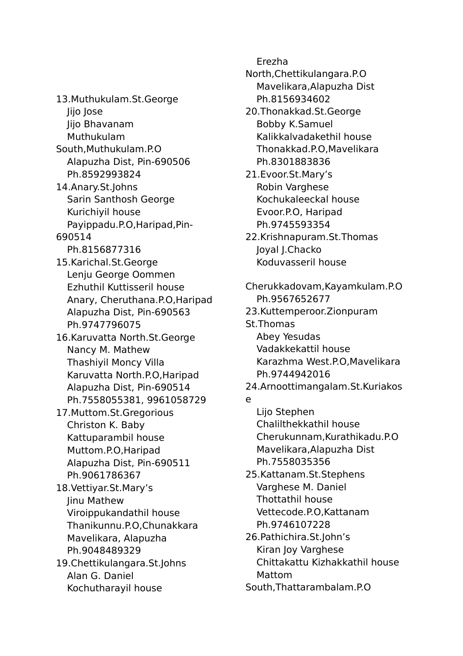13.Muthukulam.St.George Jijo Jose Jijo Bhavanam Muthukulam South,Muthukulam.P.O Alapuzha Dist, Pin-690506 Ph.8592993824 14.Anary.St.Johns Sarin Santhosh George Kurichiyil house Payippadu.P.O,Haripad,Pin-690514 Ph.8156877316 15.Karichal.St.George Lenju George Oommen Ezhuthil Kuttisseril house Anary, Cheruthana.P.O,Haripad Alapuzha Dist, Pin-690563 Ph.9747796075 16.Karuvatta North.St.George Nancy M. Mathew Thashiyil Moncy Villa Karuvatta North.P.O,Haripad Alapuzha Dist, Pin-690514 Ph.7558055381, 9961058729 17.Muttom.St.Gregorious Christon K. Baby Kattuparambil house Muttom.P.O,Haripad Alapuzha Dist, Pin-690511 Ph.9061786367 18.Vettiyar.St.Mary's Jinu Mathew Viroippukandathil house Thanikunnu.P.O,Chunakkara Mavelikara, Alapuzha Ph.9048489329 19.Chettikulangara.St.Johns Alan G. Daniel Kochutharayil house

Erezha

North,Chettikulangara.P.O Mavelikara,Alapuzha Dist Ph.8156934602

- 20.Thonakkad.St.George Bobby K.Samuel Kalikkalvadakethil house Thonakkad.P.O,Mavelikara Ph.8301883836
- 21.Evoor.St.Mary's Robin Varghese Kochukaleeckal house Evoor.P.O, Haripad Ph.9745593354
- 22.Krishnapuram.St.Thomas Joyal J.Chacko Koduvasseril house
- Cherukkadovam,Kayamkulam.P.O Ph.9567652677 23.Kuttemperoor.Zionpuram St.Thomas Abey Yesudas Vadakkekattil house Karazhma West.P.O,Mavelikara Ph.9744942016 24.Arnoottimangalam.St.Kuriakos e Lijo Stephen Chalilthekkathil house Cherukunnam,Kurathikadu.P.O Mavelikara,Alapuzha Dist Ph.7558035356 25.Kattanam.St.Stephens Varghese M. Daniel Thottathil house Vettecode.P.O,Kattanam Ph.9746107228 26.Pathichira.St.John's Kiran Joy Varghese Chittakattu Kizhakkathil house
	- Mattom
	- South,Thattarambalam.P.O